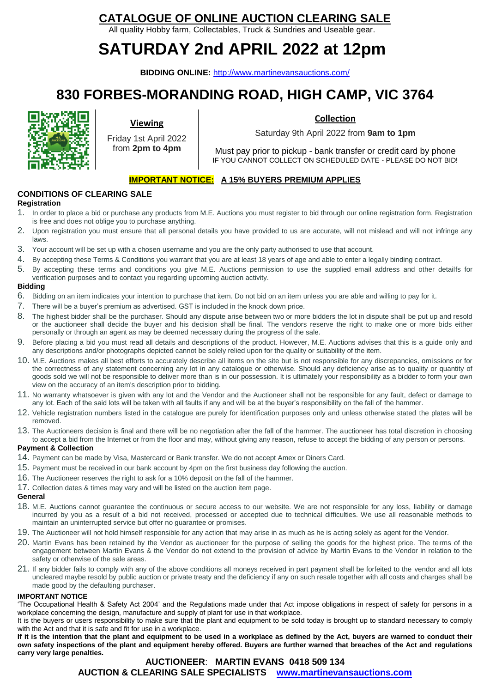### **CATALOGUE OF ONLINE AUCTION CLEARING SALE**

All quality Hobby farm, Collectables, Truck & Sundries and Useable gear.

# **SATURDAY 2nd APRIL 2022 at 12pm**

**BIDDING ONLINE:** <http://www.martinevansauctions.com/>

## **830 FORBES-MORANDING ROAD, HIGH CAMP, VIC 3764**



### **Viewing**

Friday 1st April 2022 from **2pm to 4pm**

#### **Collection**

Saturday 9th April 2022 from **9am to 1pm**

Must pay prior to pickup - bank transfer or credit card by phone IF YOU CANNOT COLLECT ON SCHEDULED DATE - PLEASE DO NOT BID!

#### **IMPORTANT NOTICE: A 15% BUYERS PREMIUM APPLIES**

#### **CONDITIONS OF CLEARING SALE**

#### **Registration**

- 1. In order to place a bid or purchase any products from M.E. Auctions you must register to bid through our online registration form. Registration is free and does not oblige you to purchase anything.
- 2. Upon registration you must ensure that all personal details you have provided to us are accurate, will not mislead and will not infringe any laws.
- 3. Your account will be set up with a chosen username and you are the only party authorised to use that account.
- 4. By accepting these Terms & Conditions you warrant that you are at least 18 years of age and able to enter a legally binding contract.
- 5. By accepting these terms and conditions you give M.E. Auctions permission to use the supplied email address and other detailfs for verification purposes and to contact you regarding upcoming auction activity.

#### **Bidding**

- 6. Bidding on an item indicates your intention to purchase that item. Do not bid on an item unless you are able and willing to pay for it.
- 7. There will be a buyer's premium as advertised. GST is included in the knock down price.
- 8. The highest bidder shall be the purchaser. Should any dispute arise between two or more bidders the lot in dispute shall be put up and resold or the auctioneer shall decide the buyer and his decision shall be final. The vendors reserve the right to make one or more bids either personally or through an agent as may be deemed necessary during the progress of the sale.
- 9. Before placing a bid you must read all details and descriptions of the product. However, M.E. Auctions advises that this is a guide only and any descriptions and/or photographs depicted cannot be solely relied upon for the quality or suitability of the item.
- 10. M.E. Auctions makes all best efforts to accurately describe all items on the site but is not responsible for any discrepancies, omissions or for the correctness of any statement concerning any lot in any catalogue or otherwise. Should any deficiency arise as to quality or quantity of goods sold we will not be responsible to deliver more than is in our possession. It is ultimately your responsibility as a bidder to form your own view on the accuracy of an item's description prior to bidding.
- 11. No warranty whatsoever is given with any lot and the Vendor and the Auctioneer shall not be responsible for any fault, defect or damage to any lot. Each of the said lots will be taken with all faults if any and will be at the buyer's responsibility on the fall of the hammer.
- 12. Vehicle registration numbers listed in the catalogue are purely for identification purposes only and unless otherwise stated the plates will be removed.
- 13. The Auctioneers decision is final and there will be no negotiation after the fall of the hammer. The auctioneer has total discretion in choosing to accept a bid from the Internet or from the floor and may, without giving any reason, refuse to accept the bidding of any person or persons.

#### **Payment & Collection**

- 14. Payment can be made by Visa, Mastercard or Bank transfer. We do not accept Amex or Diners Card.
- 15. Payment must be received in our bank account by 4pm on the first business day following the auction.
- 16. The Auctioneer reserves the right to ask for a 10% deposit on the fall of the hammer.
- 17. Collection dates & times may vary and will be listed on the auction item page.

#### **General**

- 18. M.E. Auctions cannot guarantee the continuous or secure access to our website. We are not responsible for any loss, liability or damage incurred by you as a result of a bid not received, processed or accepted due to technical difficulties. We use all reasonable methods to maintain an uninterrupted service but offer no guarantee or promises.
- 19. The Auctioneer will not hold himself responsible for any action that may arise in as much as he is acting solely as agent for the Vendor.
- 20. Martin Evans has been retained by the Vendor as auctioneer for the purpose of selling the goods for the highest price. The terms of the engagement between Martin Evans & the Vendor do not extend to the provision of advice by Martin Evans to the Vendor in relation to the safety or otherwise of the sale areas.
- 21. If any bidder fails to comply with any of the above conditions all moneys received in part payment shall be forfeited to the vendor and all lots uncleared maybe resold by public auction or private treaty and the deficiency if any on such resale together with all costs and charges shall be made good by the defaulting purchaser.

#### **IMPORTANT NOTICE**

'The Occupational Health & Safety Act 2004' and the Regulations made under that Act impose obligations in respect of safety for persons in a workplace concerning the design, manufacture and supply of plant for use in that workplace.

It is the buyers or users responsibility to make sure that the plant and equipment to be sold today is brought up to standard necessary to comply with the Act and that it is safe and fit for use in a workplace.

**If it is the intention that the plant and equipment to be used in a workplace as defined by the Act, buyers are warned to conduct their own safety inspections of the plant and equipment hereby offered. Buyers are further warned that breaches of the Act and regulations carry very large penalties.** 

### **AUCTIONEER**: **MARTIN EVANS 0418 509 134 AUCTION & CLEARING SALE SPECIALISTS [www.martinevansauctions.com](http://www.martinevansauctions.com/)**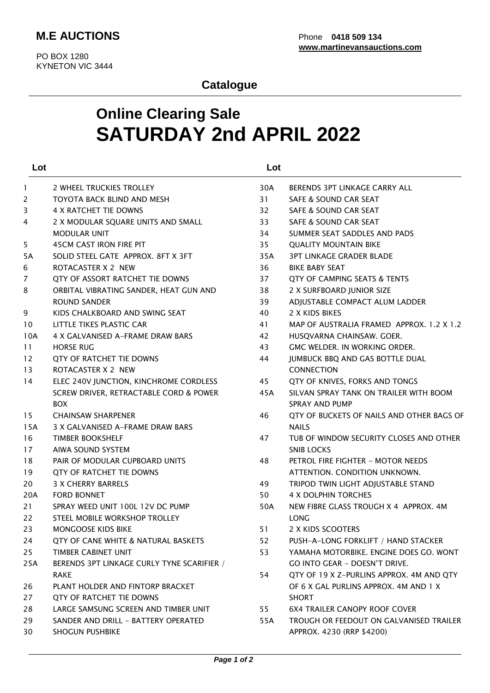### **Catalogue**

# **Online Clearing Sale SATURDAY 2nd APRIL 2022**

| Lot |                                            | Lot |                                           |
|-----|--------------------------------------------|-----|-------------------------------------------|
| -1  | 2 WHEEL TRUCKIES TROLLEY                   | 30A | BERENDS 3PT LINKAGE CARRY ALL             |
| 2   | TOYOTA BACK BLIND AND MESH                 | 31  | SAFE & SOUND CAR SEAT                     |
| 3   | 4 X RATCHET TIE DOWNS                      | 32  | SAFE & SOUND CAR SEAT                     |
| 4   | 2 X MODULAR SQUARE UNITS AND SMALL         | 33  | SAFE & SOUND CAR SEAT                     |
|     | <b>MODULAR UNIT</b>                        | 34  | SUMMER SEAT SADDLES AND PADS              |
| 5   | <b>45CM CAST IRON FIRE PIT</b>             | 35  | <b>QUALITY MOUNTAIN BIKE</b>              |
| 5A  | SOLID STEEL GATE APPROX. 8FT X 3FT         | 35A | <b>3PT LINKAGE GRADER BLADE</b>           |
| 6   | ROTACASTER X 2 NEW                         | 36  | <b>BIKE BABY SEAT</b>                     |
| 7   | QTY OF ASSORT RATCHET TIE DOWNS            | 37  | QTY OF CAMPING SEATS & TENTS              |
| 8   | ORBITAL VIBRATING SANDER, HEAT GUN AND     | 38  | 2 X SURFBOARD JUNIOR SIZE                 |
|     | <b>ROUND SANDER</b>                        | 39  | ADJUSTABLE COMPACT ALUM LADDER            |
| 9   | KIDS CHALKBOARD AND SWING SEAT             | 40  | 2 X KIDS BIKES                            |
| 10  | LITTLE TIKES PLASTIC CAR                   | 41  | MAP OF AUSTRALIA FRAMED APPROX, 1.2 X 1.2 |
| 10A | 4 X GALVANISED A-FRAME DRAW BARS           | 42  | HUSOVARNA CHAINSAW, GOER.                 |
| 11  | <b>HORSE RUG</b>                           | 43  | GMC WELDER. IN WORKING ORDER.             |
| 12  | QTY OF RATCHET TIE DOWNS                   | 44  | JUMBUCK BBQ AND GAS BOTTLE DUAL           |
| 13  | ROTACASTER X 2 NEW                         |     | <b>CONNECTION</b>                         |
| 14  | ELEC 240V JUNCTION, KINCHROME CORDLESS     | 45  | QTY OF KNIVES, FORKS AND TONGS            |
|     | SCREW DRIVER, RETRACTABLE CORD & POWER     | 45A | SILVAN SPRAY TANK ON TRAILER WITH BOOM    |
|     | <b>BOX</b>                                 |     | SPRAY AND PUMP                            |
| 15  | <b>CHAINSAW SHARPENER</b>                  | 46  | QTY OF BUCKETS OF NAILS AND OTHER BAGS OF |
| 15A | 3 X GALVANISED A-FRAME DRAW BARS           |     | <b>NAILS</b>                              |
| 16  | <b>TIMBER BOOKSHELF</b>                    | 47  | TUB OF WINDOW SECURITY CLOSES AND OTHER   |
| 17  | AIWA SOUND SYSTEM                          |     | <b>SNIB LOCKS</b>                         |
| 18  | PAIR OF MODULAR CUPBOARD UNITS             | 48  | PETROL FIRE FIGHTER - MOTOR NEEDS         |
| 19  | QTY OF RATCHET TIE DOWNS                   |     | ATTENTION. CONDITION UNKNOWN.             |
| 20  | <b>3 X CHERRY BARRELS</b>                  | 49  | TRIPOD TWIN LIGHT ADJUSTABLE STAND        |
| 20A | <b>FORD BONNET</b>                         | 50  | 4 X DOLPHIN TORCHES                       |
| 21  | SPRAY WEED UNIT 100L 12V DC PUMP           | 50A | NEW FIBRE GLASS TROUGH X 4 APPROX. 4M     |
| 22  | STEEL MOBILE WORKSHOP TROLLEY              |     | <b>LONG</b>                               |
| 23  | <b>MONGOOSE KIDS BIKE</b>                  | 51  | 2 X KIDS SCOOTERS                         |
| 24  | QTY OF CANE WHITE & NATURAL BASKETS        | 52  | PUSH-A-LONG FORKLIFT / HAND STACKER       |
| 25  | TIMBER CABINET UNIT                        | 53  | YAMAHA MOTORBIKE, ENGINE DOES GO, WONT    |
| 25A | BERENDS 3PT LINKAGE CURLY TYNE SCARIFIER / |     | <b>GO INTO GEAR - DOESN'T DRIVE.</b>      |
|     | <b>RAKE</b>                                | 54  | QTY OF 19 X Z-PURLINS APPROX. 4M AND QTY  |
| 26  | PLANT HOLDER AND FINTORP BRACKET           |     | OF 6 X GAL PURLINS APPROX. 4M AND 1 X     |
| 27  | QTY OF RATCHET TIE DOWNS                   |     | <b>SHORT</b>                              |
| 28  | LARGE SAMSUNG SCREEN AND TIMBER UNIT       | 55  | <b>6X4 TRAILER CANOPY ROOF COVER</b>      |
| 29  | SANDER AND DRILL - BATTERY OPERATED        | 55A | TROUGH OR FEEDOUT ON GALVANISED TRAILER   |
| 30  | SHOGUN PUSHBIKE                            |     | APPROX. 4230 (RRP \$4200)                 |